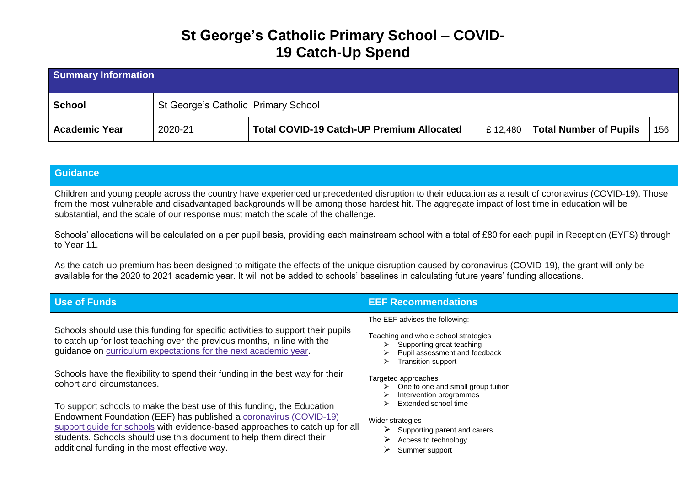## **St George's Catholic Primary School – COVID-19 Catch-Up Spend**

| <b>Summary Information</b> |                                     |                                                  |         |                               |      |
|----------------------------|-------------------------------------|--------------------------------------------------|---------|-------------------------------|------|
| <b>School</b>              | St George's Catholic Primary School |                                                  |         |                               |      |
| <b>Academic Year</b>       | 2020-21                             | <b>Total COVID-19 Catch-UP Premium Allocated</b> | £12,480 | <b>Total Number of Pupils</b> | -156 |

#### **Guidance**

Children and young people across the country have experienced unprecedented disruption to their education as a result of coronavirus (COVID-19). Those from the most vulnerable and disadvantaged backgrounds will be among those hardest hit. The aggregate impact of lost time in education will be substantial, and the scale of our response must match the scale of the challenge.

Schools' allocations will be calculated on a per pupil basis, providing each mainstream school with a total of £80 for each pupil in Reception (EYFS) through to Year 11.

As the catch-up premium has been designed to mitigate the effects of the unique disruption caused by coronavirus (COVID-19), the grant will only be available for the 2020 to 2021 academic year. It will not be added to schools' baselines in calculating future years' funding allocations.

| <b>Use of Funds</b>                                                                                                                                                                                                                                                                                                                                  | <b>EEF Recommendations</b>                                                                                                                                                                 |
|------------------------------------------------------------------------------------------------------------------------------------------------------------------------------------------------------------------------------------------------------------------------------------------------------------------------------------------------------|--------------------------------------------------------------------------------------------------------------------------------------------------------------------------------------------|
| Schools should use this funding for specific activities to support their pupils<br>to catch up for lost teaching over the previous months, in line with the<br>guidance on curriculum expectations for the next academic year.                                                                                                                       | The EEF advises the following:<br>Teaching and whole school strategies<br>Supporting great teaching<br>$\triangleright$<br>Pupil assessment and feedback<br><b>Transition support</b><br>⋗ |
| Schools have the flexibility to spend their funding in the best way for their<br>cohort and circumstances.                                                                                                                                                                                                                                           | Targeted approaches<br>One to one and small group tuition<br>Intervention programmes                                                                                                       |
| To support schools to make the best use of this funding, the Education<br>Endowment Foundation (EEF) has published a coronavirus (COVID-19)<br>support guide for schools with evidence-based approaches to catch up for all<br>students. Schools should use this document to help them direct their<br>additional funding in the most effective way. | Extended school time<br>Wider strategies<br>Supporting parent and carers<br>Access to technology<br>Summer support                                                                         |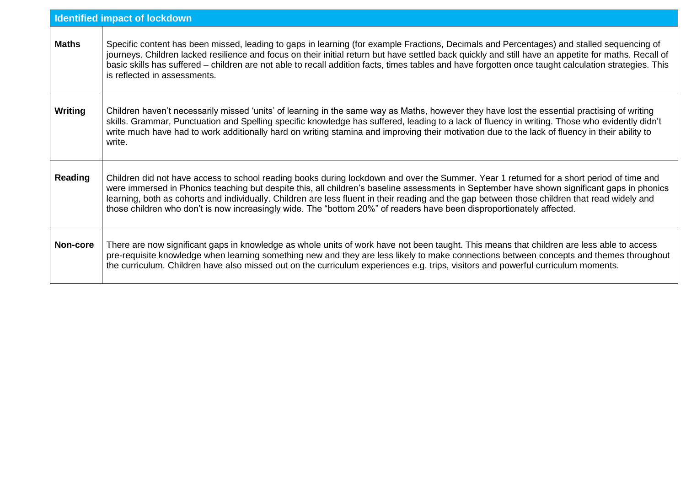|              | <b>Identified impact of lockdown</b>                                                                                                                                                                                                                                                                                                                                                                                                                                                                                                                              |
|--------------|-------------------------------------------------------------------------------------------------------------------------------------------------------------------------------------------------------------------------------------------------------------------------------------------------------------------------------------------------------------------------------------------------------------------------------------------------------------------------------------------------------------------------------------------------------------------|
| <b>Maths</b> | Specific content has been missed, leading to gaps in learning (for example Fractions, Decimals and Percentages) and stalled sequencing of<br>journeys. Children lacked resilience and focus on their initial return but have settled back quickly and still have an appetite for maths. Recall of<br>basic skills has suffered - children are not able to recall addition facts, times tables and have forgotten once taught calculation strategies. This<br>is reflected in assessments.                                                                         |
| Writing      | Children haven't necessarily missed 'units' of learning in the same way as Maths, however they have lost the essential practising of writing<br>skills. Grammar, Punctuation and Spelling specific knowledge has suffered, leading to a lack of fluency in writing. Those who evidently didn't<br>write much have had to work additionally hard on writing stamina and improving their motivation due to the lack of fluency in their ability to<br>write.                                                                                                        |
| Reading      | Children did not have access to school reading books during lockdown and over the Summer. Year 1 returned for a short period of time and<br>were immersed in Phonics teaching but despite this, all children's baseline assessments in September have shown significant gaps in phonics<br>learning, both as cohorts and individually. Children are less fluent in their reading and the gap between those children that read widely and<br>those children who don't is now increasingly wide. The "bottom 20%" of readers have been disproportionately affected. |
| Non-core     | There are now significant gaps in knowledge as whole units of work have not been taught. This means that children are less able to access<br>pre-requisite knowledge when learning something new and they are less likely to make connections between concepts and themes throughout<br>the curriculum. Children have also missed out on the curriculum experiences e.g. trips, visitors and powerful curriculum moments.                                                                                                                                         |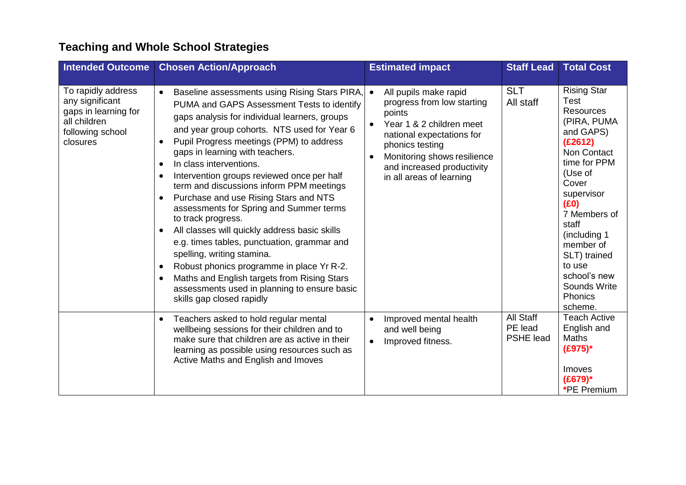# **Teaching and Whole School Strategies**

| <b>Intended Outcome</b>                                                                                       | <b>Chosen Action/Approach</b>                                                                                                                                                                                                                                                                                                                                                                                                                                                                                                                                                                                                                                                                                                                                                                                                                                                                                            | <b>Estimated impact</b>                                                                                                                                                                                                                         | <b>Staff Lead</b>                        | <b>Total Cost</b>                                                                                                                                                                                                                                                                                    |
|---------------------------------------------------------------------------------------------------------------|--------------------------------------------------------------------------------------------------------------------------------------------------------------------------------------------------------------------------------------------------------------------------------------------------------------------------------------------------------------------------------------------------------------------------------------------------------------------------------------------------------------------------------------------------------------------------------------------------------------------------------------------------------------------------------------------------------------------------------------------------------------------------------------------------------------------------------------------------------------------------------------------------------------------------|-------------------------------------------------------------------------------------------------------------------------------------------------------------------------------------------------------------------------------------------------|------------------------------------------|------------------------------------------------------------------------------------------------------------------------------------------------------------------------------------------------------------------------------------------------------------------------------------------------------|
| To rapidly address<br>any significant<br>gaps in learning for<br>all children<br>following school<br>closures | Baseline assessments using Rising Stars PIRA,<br>$\bullet$<br>PUMA and GAPS Assessment Tests to identify<br>gaps analysis for individual learners, groups<br>and year group cohorts. NTS used for Year 6<br>Pupil Progress meetings (PPM) to address<br>$\bullet$<br>gaps in learning with teachers.<br>In class interventions.<br>$\bullet$<br>Intervention groups reviewed once per half<br>$\bullet$<br>term and discussions inform PPM meetings<br>Purchase and use Rising Stars and NTS<br>$\bullet$<br>assessments for Spring and Summer terms<br>to track progress.<br>All classes will quickly address basic skills<br>$\bullet$<br>e.g. times tables, punctuation, grammar and<br>spelling, writing stamina.<br>Robust phonics programme in place Yr R-2.<br>$\bullet$<br>Maths and English targets from Rising Stars<br>$\bullet$<br>assessments used in planning to ensure basic<br>skills gap closed rapidly | All pupils make rapid<br>progress from low starting<br>points<br>Year 1 & 2 children meet<br>$\bullet$<br>national expectations for<br>phonics testing<br>Monitoring shows resilience<br>and increased productivity<br>in all areas of learning | <b>SLT</b><br>All staff                  | <b>Rising Star</b><br>Test<br><b>Resources</b><br>(PIRA, PUMA<br>and GAPS)<br>(E2612)<br>Non Contact<br>time for PPM<br>(Use of<br>Cover<br>supervisor<br>(E0)<br>7 Members of<br>staff<br>(including 1<br>member of<br>SLT) trained<br>to use<br>school's new<br>Sounds Write<br>Phonics<br>scheme. |
|                                                                                                               | Teachers asked to hold regular mental<br>$\bullet$<br>wellbeing sessions for their children and to<br>make sure that children are as active in their<br>learning as possible using resources such as<br>Active Maths and English and Imoves                                                                                                                                                                                                                                                                                                                                                                                                                                                                                                                                                                                                                                                                              | Improved mental health<br>$\bullet$<br>and well being<br>Improved fitness.<br>$\bullet$                                                                                                                                                         | All Staff<br>PE lead<br><b>PSHE lead</b> | <b>Teach Active</b><br>English and<br><b>Maths</b><br>$(E975)^*$<br>Imoves<br>$(E679)$ *<br>*PE Premium                                                                                                                                                                                              |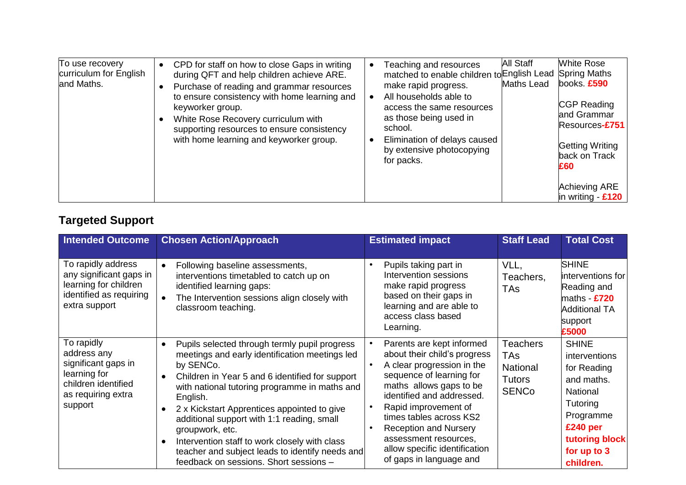| To use recovery<br>curriculum for English<br>and Maths. | • CPD for staff on how to close Gaps in writing<br>during QFT and help children achieve ARE.<br>Purchase of reading and grammar resources<br>to ensure consistency with home learning and<br>keyworker group.<br>White Rose Recovery curriculum with<br>supporting resources to ensure consistency<br>with home learning and keyworker group. | <b>All Staff</b><br>Teaching and resources<br>matched to enable children to English Lead Spring Maths<br>Maths Lead<br>make rapid progress.<br>All households able to<br>access the same resources<br>as those being used in<br>school.<br>Elimination of delays caused<br>by extensive photocopying<br>for packs. | <b>White Rose</b><br>books £590<br>CGP Reading<br>and Grammar<br>Resources-£751<br><b>Getting Writing</b><br>back on Track<br>£60 |
|---------------------------------------------------------|-----------------------------------------------------------------------------------------------------------------------------------------------------------------------------------------------------------------------------------------------------------------------------------------------------------------------------------------------|--------------------------------------------------------------------------------------------------------------------------------------------------------------------------------------------------------------------------------------------------------------------------------------------------------------------|-----------------------------------------------------------------------------------------------------------------------------------|
|                                                         |                                                                                                                                                                                                                                                                                                                                               |                                                                                                                                                                                                                                                                                                                    | <b>Achieving ARE</b><br>in writing - $£120$                                                                                       |

### **Targeted Support**

| <b>Intended Outcome</b>                                                                                                  | <b>Chosen Action/Approach</b>                                                                                                                                                                                                                                                                                                                                                                                                                                                                           | <b>Estimated impact</b>                                                                                                                                                                                                                                                                                                                             | <b>Staff Lead</b>                                                   | <b>Total Cost</b>                                                                                                                                                    |
|--------------------------------------------------------------------------------------------------------------------------|---------------------------------------------------------------------------------------------------------------------------------------------------------------------------------------------------------------------------------------------------------------------------------------------------------------------------------------------------------------------------------------------------------------------------------------------------------------------------------------------------------|-----------------------------------------------------------------------------------------------------------------------------------------------------------------------------------------------------------------------------------------------------------------------------------------------------------------------------------------------------|---------------------------------------------------------------------|----------------------------------------------------------------------------------------------------------------------------------------------------------------------|
| To rapidly address<br>any significant gaps in<br>learning for children<br>identified as requiring<br>extra support       | Following baseline assessments,<br>$\bullet$<br>interventions timetabled to catch up on<br>identified learning gaps:<br>The Intervention sessions align closely with<br>classroom teaching.                                                                                                                                                                                                                                                                                                             | Pupils taking part in<br>Intervention sessions<br>make rapid progress<br>based on their gaps in<br>learning and are able to<br>access class based<br>Learning.                                                                                                                                                                                      | VLL,<br>Teachers,<br><b>TAs</b>                                     | <b>SHINE</b><br>interventions for<br>Reading and<br>maths - £720<br><b>Additional TA</b><br>support<br>£5000                                                         |
| To rapidly<br>address any<br>significant gaps in<br>learning for<br>children identified<br>as requiring extra<br>support | Pupils selected through termly pupil progress<br>$\bullet$<br>meetings and early identification meetings led<br>by SENCo.<br>Children in Year 5 and 6 identified for support<br>with national tutoring programme in maths and<br>English.<br>2 x Kickstart Apprentices appointed to give<br>additional support with 1:1 reading, small<br>groupwork, etc.<br>Intervention staff to work closely with class<br>teacher and subject leads to identify needs and<br>feedback on sessions. Short sessions - | Parents are kept informed<br>about their child's progress<br>A clear progression in the<br>sequence of learning for<br>maths allows gaps to be<br>identified and addressed.<br>Rapid improvement of<br>times tables across KS2<br><b>Reception and Nursery</b><br>assessment resources,<br>allow specific identification<br>of gaps in language and | Teachers<br>TAs<br><b>National</b><br><b>Tutors</b><br><b>SENCo</b> | <b>SHINE</b><br>interventions<br>for Reading<br>and maths.<br>National<br>Tutoring<br>Programme<br>£240 <sub>per</sub><br>tutoring block<br>for up to 3<br>children. |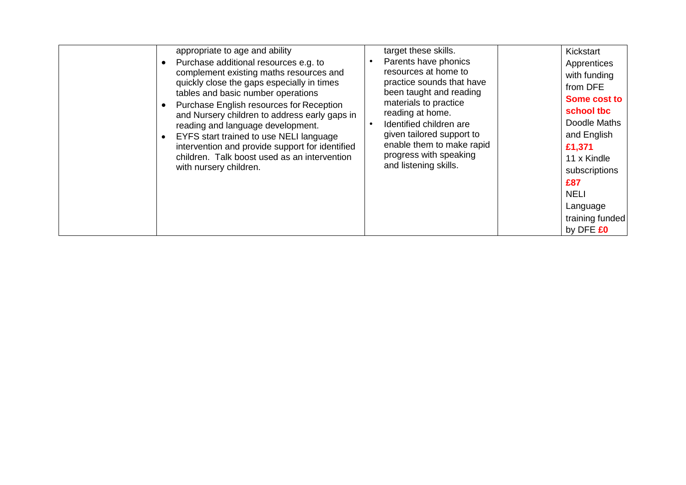|  | appropriate to age and ability<br>Purchase additional resources e.g. to<br>complement existing maths resources and<br>quickly close the gaps especially in times<br>tables and basic number operations<br>Purchase English resources for Reception<br>and Nursery children to address early gaps in<br>reading and language development.<br>EYFS start trained to use NELI language<br>intervention and provide support for identified<br>children. Talk boost used as an intervention<br>with nursery children. | target these skills.<br>Parents have phonics<br>resources at home to<br>practice sounds that have<br>been taught and reading<br>materials to practice<br>reading at home.<br>Identified children are<br>given tailored support to<br>enable them to make rapid<br>progress with speaking<br>and listening skills. | Kickstart<br>Apprentices<br>with funding<br>from DFE<br>Some cost to<br>school tbc<br>Doodle Maths<br>and English<br>£1,371<br>11 x Kindle<br>subscriptions<br>£87<br><b>NELI</b><br>Language<br>training funded<br>by DFE £0 |
|--|------------------------------------------------------------------------------------------------------------------------------------------------------------------------------------------------------------------------------------------------------------------------------------------------------------------------------------------------------------------------------------------------------------------------------------------------------------------------------------------------------------------|-------------------------------------------------------------------------------------------------------------------------------------------------------------------------------------------------------------------------------------------------------------------------------------------------------------------|-------------------------------------------------------------------------------------------------------------------------------------------------------------------------------------------------------------------------------|
|--|------------------------------------------------------------------------------------------------------------------------------------------------------------------------------------------------------------------------------------------------------------------------------------------------------------------------------------------------------------------------------------------------------------------------------------------------------------------------------------------------------------------|-------------------------------------------------------------------------------------------------------------------------------------------------------------------------------------------------------------------------------------------------------------------------------------------------------------------|-------------------------------------------------------------------------------------------------------------------------------------------------------------------------------------------------------------------------------|